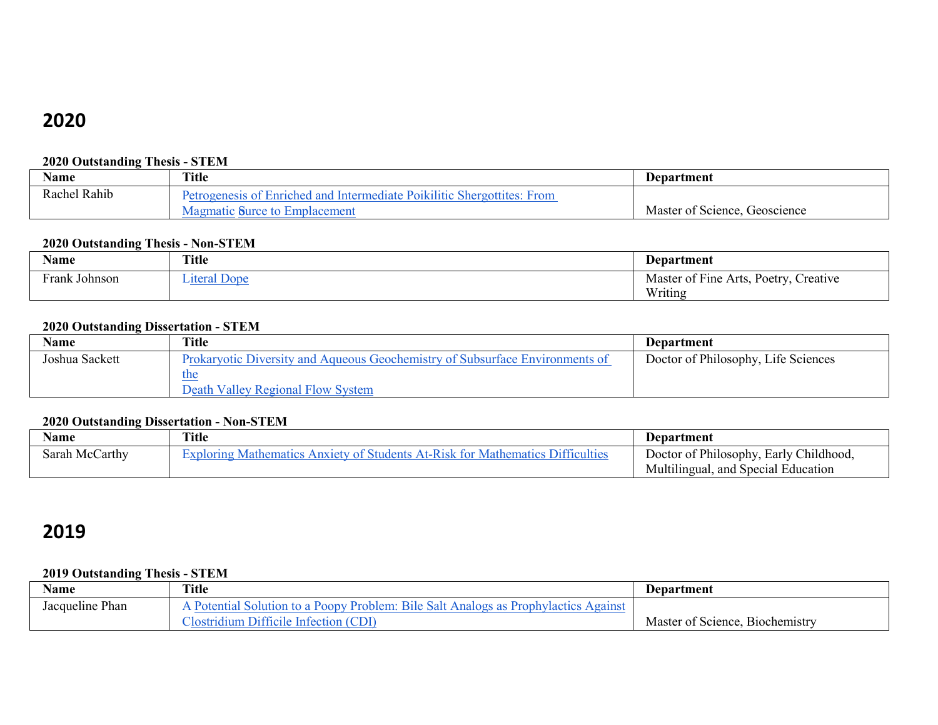# **2020**

## **2020 Outstanding Thesis - STEM**

| Name            | Title                                                            | Department                          |
|-----------------|------------------------------------------------------------------|-------------------------------------|
| Rahib<br>Rachel | of Enriched and Intermediate Poikilitic<br>From<br>Shergottites: |                                     |
|                 | <b>Emplacement</b><br>$\mathbb{R}$ 11 <i>roo</i> to<br>rce to    | Master of<br>Geoscience<br>Science. |

## **2020 Outstanding Thesis - Non-STEM**

| Name             | <b>Title</b>    | Department                                                 |
|------------------|-----------------|------------------------------------------------------------|
| Frank<br>Johnson | Done<br>$t$ ara | 2.77<br>–<br>Master of Fine<br>Creative<br>Poetry<br>Arts, |
|                  |                 | Writing                                                    |

### **2020 Outstanding Dissertation - STEM**

| Name           | Title                                                                        | Department                          |
|----------------|------------------------------------------------------------------------------|-------------------------------------|
| Joshua Sackett | Prokaryotic Diversity and Aqueous Geochemistry of Subsurface Environments of | Doctor of Philosophy, Life Sciences |
|                | <u>the</u>                                                                   |                                     |
|                | Death Valley Regional Flow System                                            |                                     |

### **2020 Outstanding Dissertation - Non-STEM**

| Name           | Title                                                                                             | <b>Department</b>                      |
|----------------|---------------------------------------------------------------------------------------------------|----------------------------------------|
| Sarah McCarthy | $\sim$ ndents $\sim$<br>Mathematics<br>Difficulties<br>$\alpha$ nem $\gamma$<br>$\triangle$ nxier | Doctor of Philosophy, Early Childhood, |
|                |                                                                                                   | Multilingual, and Special Education    |

# **2019**

## **2019 Outstanding Thesis - STEM**

| Name               | <b>Title</b>                                                                                  | Department                                     |
|--------------------|-----------------------------------------------------------------------------------------------|------------------------------------------------|
| Phan<br>Jacqueline | a Poopy Problem:<br>Bile<br>Against<br><b>Prophylactics</b><br>solution<br>Salt<br>Analogs as |                                                |
|                    | (CDI<br>Difficile<br>Infection<br>Aostridium                                                  | $\sim$<br>Master of<br>t Science. Biochemistry |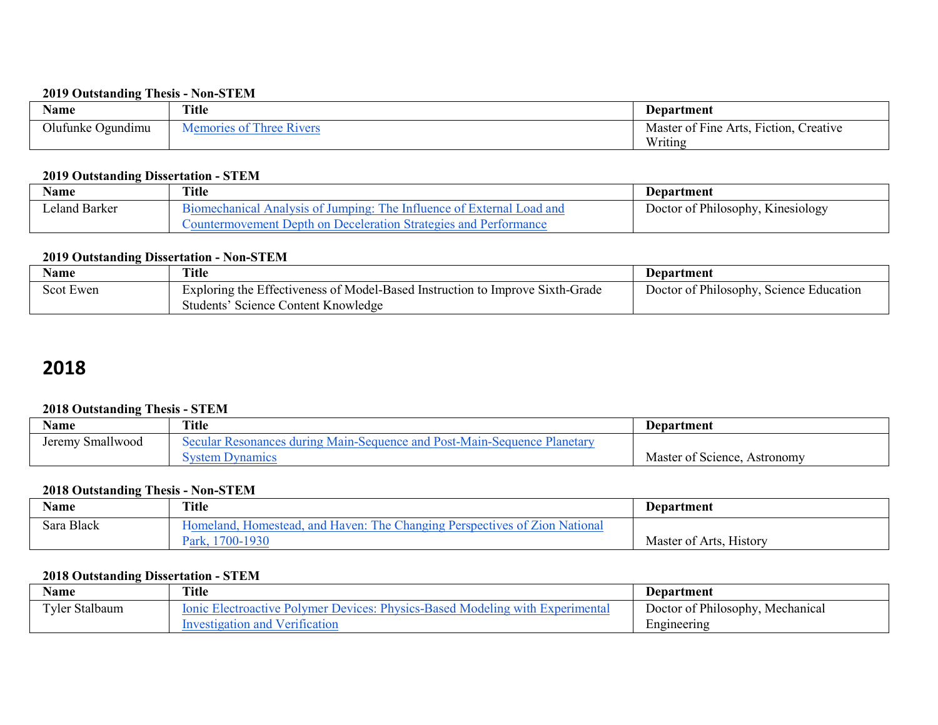#### **2019 Outstanding Thesis - Non-STEM**

| Name                 | <b>Title</b>               | <b>Department</b>                                                                        |
|----------------------|----------------------------|------------------------------------------------------------------------------------------|
| Olufunke<br>Ogundimu | $\sim$ $-$<br>Three Rivers | $\mathbf{r}$<br>$\sim$ $\mathbf{r}$ .<br>Master of Fine.<br>reative<br>Arts,<br>Fiction, |
|                      |                            | Writing                                                                                  |

### **2019 Outstanding Dissertation - STEM**

| Name                | Title                                                                                  | Department                        |
|---------------------|----------------------------------------------------------------------------------------|-----------------------------------|
| . Barker<br>eland - | oad and<br>ne<br>Jumping:<br>Analysis<br>Influenc                                      | Doctor of Philosophy, Kinesiology |
|                     | Deceleration '<br>I Strategies and Performance<br>Depth<br>$\sim$<br>Countermovement . |                                   |

### **2019 Outstanding Dissertation - Non-STEM**

| Name      | <b>Title</b>                                                                                                         | Department                              |
|-----------|----------------------------------------------------------------------------------------------------------------------|-----------------------------------------|
| Scot Ewen | Exploring the Effectiveness of Model-Based Instruction to Improve Sixth-Grade<br>Students' Science Content Knowledge | Doctor of Philosophy, Science Education |

# **2018**

## **2018 Outstanding Thesis - STEM**

| Name                        | <b>Title</b>                                                             | <b>Department</b>                                |
|-----------------------------|--------------------------------------------------------------------------|--------------------------------------------------|
| 11<br>Smallwood<br>Jeremy ' | Secular Resonances during Main-Sequence and Post-Main-Sequence Planetary |                                                  |
|                             | svstem Dvnamics                                                          | $\sim$ $\sim$<br>Master of Science,<br>Astronomy |

### **2018 Outstanding Thesis - Non-STEM**

| Name                        | <b>Title</b>                                                                                     | Department                   |
|-----------------------------|--------------------------------------------------------------------------------------------------|------------------------------|
| Sara Black<br>$\sim$ $\sim$ | The Changing Perspective<br>Haven:<br>Zion National<br>and<br>Homeland.<br>Homestead.<br>117AC 1 |                              |
|                             | 0-1930<br>v.<br>ark,                                                                             | Master of Arts,<br>. History |

## **2018 Outstanding Dissertation - STEM**

| Name                         | Title                                                                                                      | Department                       |
|------------------------------|------------------------------------------------------------------------------------------------------------|----------------------------------|
| <b>Tyler Stalbaum</b><br>— 1 | : Physics-Based<br>Modeling with<br>lonic<br>Devices:<br>e Electroactive Polymer i.<br><b>Experimental</b> | Doctor of Philosophy, Mechanical |
|                              | ation and Verification<br>nvestigation                                                                     | Engineering                      |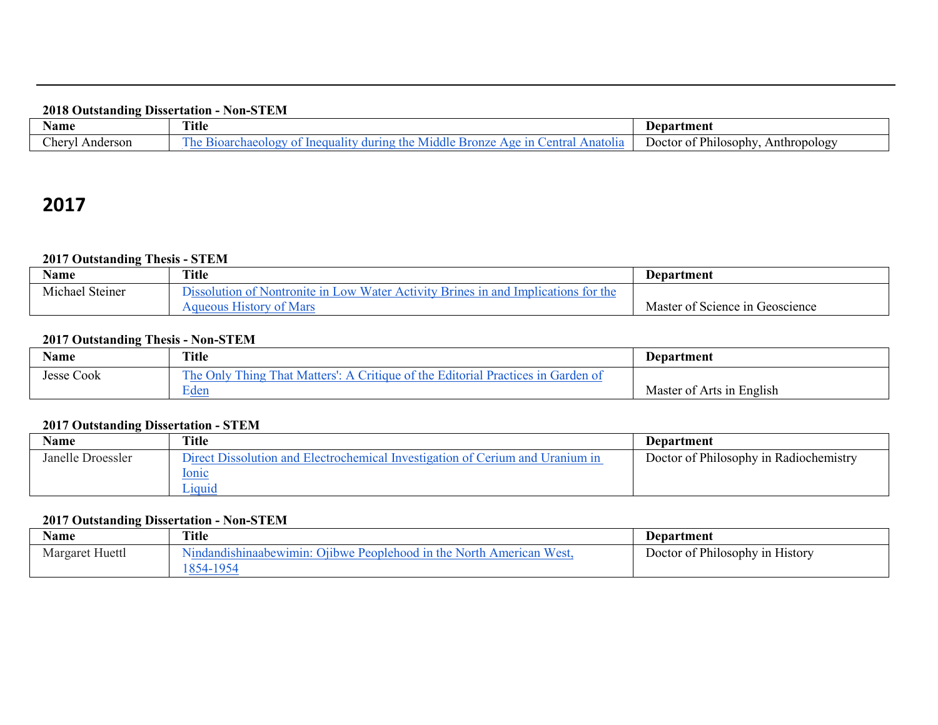### **2018 Outstanding Dissertation - Non-STEM**

| Name                           | <b>Title</b>                                                                                 | Department                                               |
|--------------------------------|----------------------------------------------------------------------------------------------|----------------------------------------------------------|
| Cherv <sup>T</sup><br>Anderson | entra<br>he<br>$r_{\alpha}$ n 70<br>Anatolia<br>- 11<br>$\alpha$<br>510<br>111 O<br>$\cdots$ | <sup>*</sup> Philosophy,<br>Joctor<br>Anthropology<br>ΩŤ |

# **2017**

## **2017 Outstanding Thesis - STEM**

| Name                              | <b>Title</b>                                                                                                             | Department                      |
|-----------------------------------|--------------------------------------------------------------------------------------------------------------------------|---------------------------------|
| $\sim$<br>.<br>Michael<br>Steiner | Water.<br>$\overline{OW}$<br>Nontronite in $\mathbf{r}$<br>Activity Brines in and<br>Implications<br>for the<br>solution |                                 |
|                                   | of Mars<br>Aqueous History                                                                                               | Master of Science in Geoscience |

### **2017 Outstanding Thesis - Non-STEM**

| <b>Name</b>          | Title                                                                                                                    | <b>Department</b>         |
|----------------------|--------------------------------------------------------------------------------------------------------------------------|---------------------------|
| $\sim$<br>Jesse Cook | and the Editorial Practices in the<br>The C<br>l`hat Matters':-<br>Garden of<br>$_{\rm \bf O nlv}$<br>intique.<br>l hing |                           |
|                      | $\blacksquare$<br>Eden                                                                                                   | Master of Arts in English |

## **2017 Outstanding Dissertation - STEM**

| Name              | Title                                                                         | Department                             |
|-------------------|-------------------------------------------------------------------------------|----------------------------------------|
| Janelle Droessler | Direct Dissolution and Electrochemical Investigation of Cerium and Uranium in | Doctor of Philosophy in Radiochemistry |
|                   | <u>Ionic</u>                                                                  |                                        |
|                   | Liquid                                                                        |                                        |

### **2017 Outstanding Dissertation - Non-STEM**

| <b>Name</b>     | Title                                                                                     | <b>Department</b>               |
|-----------------|-------------------------------------------------------------------------------------------|---------------------------------|
| Margaret Huettl | West.<br>Nindandishinaabewimin:<br>Peoplehood in the<br>North,<br>$'$ )11 hwe<br>American | Doctor of Philosophy in History |
|                 | 854<br>1/2                                                                                |                                 |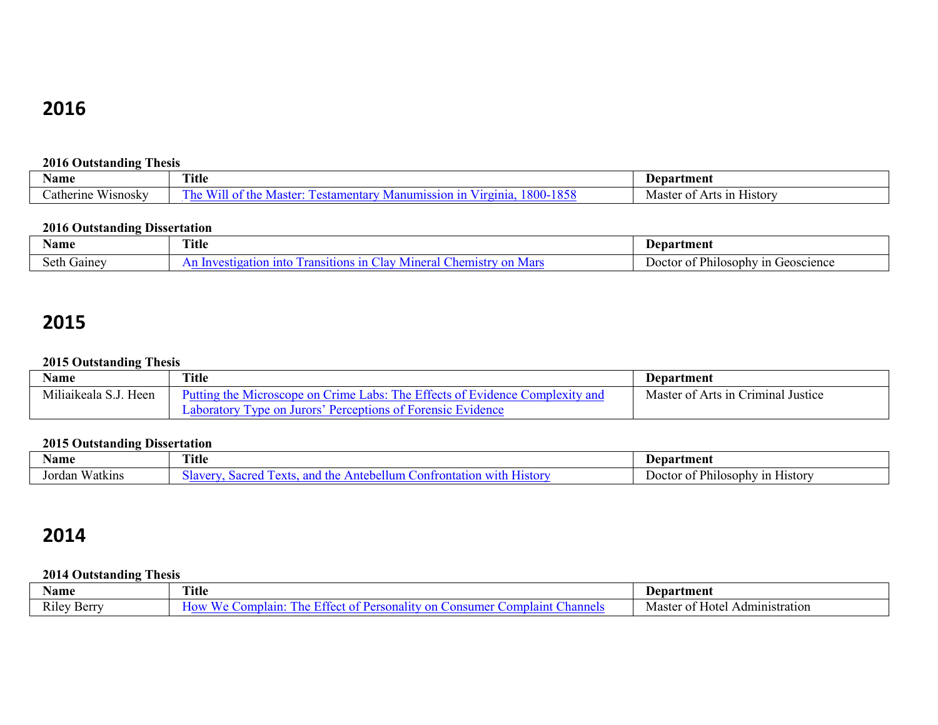# **2016**

## **2016 Outstanding Thesis**

| Name                                 | Title | <b>Department</b>                                                     |
|--------------------------------------|-------|-----------------------------------------------------------------------|
| <b>TTT</b><br>atherine<br>. Wisnosky | -     | $\sim$ $\sim$<br>Master<br>H1Stor<br>$\Lambda$ rt<br>'Ω†<br>ោរ :<br>┒ |

## **2016 Outstanding Dissertation**

| Name                                            | <b>Title</b> | Denartment                                                                             |
|-------------------------------------------------|--------------|----------------------------------------------------------------------------------------|
| the contract of the contract of the contract of |              |                                                                                        |
| $\cdot$ gainey                                  | .<br>ю       | $-$<br>.<br>$\degree$ Philosophy.<br>' in Geoscience<br>JΩ<br>ി<br>$\circ$ ror $\cdot$ |

# **2015**

# **2015 Outstanding Thesis**

| Name                  | Title                                                                             | <b>Department</b>                  |
|-----------------------|-----------------------------------------------------------------------------------|------------------------------------|
| Miliaikeala S.J. Heen | Putting the Microscope on Crime Labs: The Effects of Evidence Complexity and      | Master of Arts in Criminal Justice |
|                       | ar Jurors (†<br>Percentions of Forensic Evidence<br><b>vne</b> on<br>aboratory. . |                                    |

## **2015 Outstanding Dissertation**

| Name                    | $\sim$<br>ritle                       | Department                                             |
|-------------------------|---------------------------------------|--------------------------------------------------------|
| --<br>√atkıns<br>Jordan | stor<br>no<br>nt<br>. .<br>une.<br>™. | <sup>*</sup> Philosophy<br>Doctor<br>n History '<br>ОI |

# **2014**

# **2014 Outstanding Thesis**

| Name                                  | Title          | 'Jenartmen.                                      |
|---------------------------------------|----------------|--------------------------------------------------|
| $\mathbf{r}$<br>Kiley<br>! ≏rr¶<br>יט | าลบ<br>ne<br>. | Master<br>Hote<br>ation:<br>$\mathbf{u}$<br>51 L |